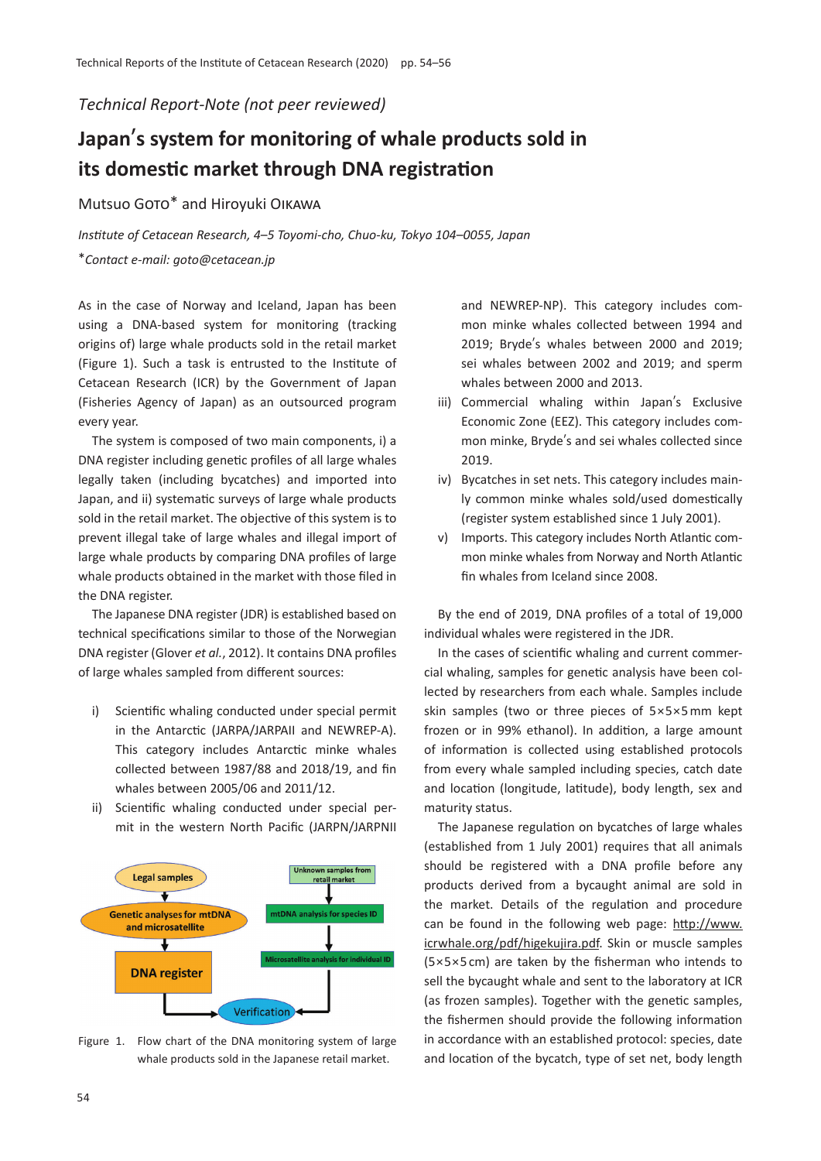### *Technical Report-Note (not peer reviewed)*

# **Japan**'**s system for monitoring of whale products sold in its domestic market through DNA registration**

## Mutsuo GOTO\* and Hiroyuki OIKAWA

*Institute of Cetacean Research, 4*–*5 Toyomi-cho, Chuo-ku, Tokyo 104*–*0055, Japan* \**Contact e-mail: goto@cetacean.jp*

As in the case of Norway and Iceland, Japan has been using a DNA-based system for monitoring (tracking origins of) large whale products sold in the retail market (Figure 1). Such a task is entrusted to the Institute of Cetacean Research (ICR) by the Government of Japan (Fisheries Agency of Japan) as an outsourced program every year.

The system is composed of two main components, i) a DNA register including gene�c profiles of all large whales legally taken (including bycatches) and imported into Japan, and ii) systema�c surveys of large whale products sold in the retail market. The objective of this system is to prevent illegal take of large whales and illegal import of large whale products by comparing DNA profiles of large whale products obtained in the market with those filed in the DNA register.

The Japanese DNA register (JDR) is established based on technical specifications similar to those of the Norwegian DNA register (Glover *et al.*, 2012). It contains DNA profiles of large whales sampled from different sources:

- i) Scientific whaling conducted under special permit in the Antarctic (JARPA/JARPAII and NEWREP-A). This category includes Antarctic minke whales collected between 1987/88 and 2018/19, and fin whales between 2005/06 and 2011/12.
- ii) Scientific whaling conducted under special permit in the western North Pacific (JARPN/JARPNII



Figure 1. Flow chart of the DNA monitoring system of large whale products sold in the Japanese retail market.

and NEWREP-NP). This category includes common minke whales collected between 1994 and 2019; Bryde's whales between 2000 and 2019; sei whales between 2002 and 2019; and sperm whales between 2000 and 2013.

- iii) Commercial whaling within Japan's Exclusive Economic Zone (EEZ). This category includes common minke, Bryde's and sei whales collected since 2019.
- iv) Bycatches in set nets. This category includes mainly common minke whales sold/used domestically (register system established since 1 July 2001).
- v) Imports. This category includes North Atlantic common minke whales from Norway and North Atlan�c fin whales from Iceland since 2008.

By the end of 2019, DNA profiles of a total of 19,000 individual whales were registered in the JDR.

In the cases of scientific whaling and current commercial whaling, samples for genetic analysis have been collected by researchers from each whale. Samples include skin samples (two or three pieces of 5×5×5 mm kept frozen or in 99% ethanol). In addition, a large amount of information is collected using established protocols from every whale sampled including species, catch date and location (longitude, latitude), body length, sex and maturity status.

The Japanese regulation on bycatches of large whales (established from 1 July 2001) requires that all animals should be registered with a DNA profile before any products derived from a bycaught animal are sold in the market. Details of the regulation and procedure can be found in the following web page: http://www. icrwhale.org/pdf/higekujira.pdf. Skin or muscle samples (5×5×5 cm) are taken by the fisherman who intends to sell the bycaught whale and sent to the laboratory at ICR (as frozen samples). Together with the genetic samples, the fishermen should provide the following information in accordance with an established protocol: species, date and location of the bycatch, type of set net, body length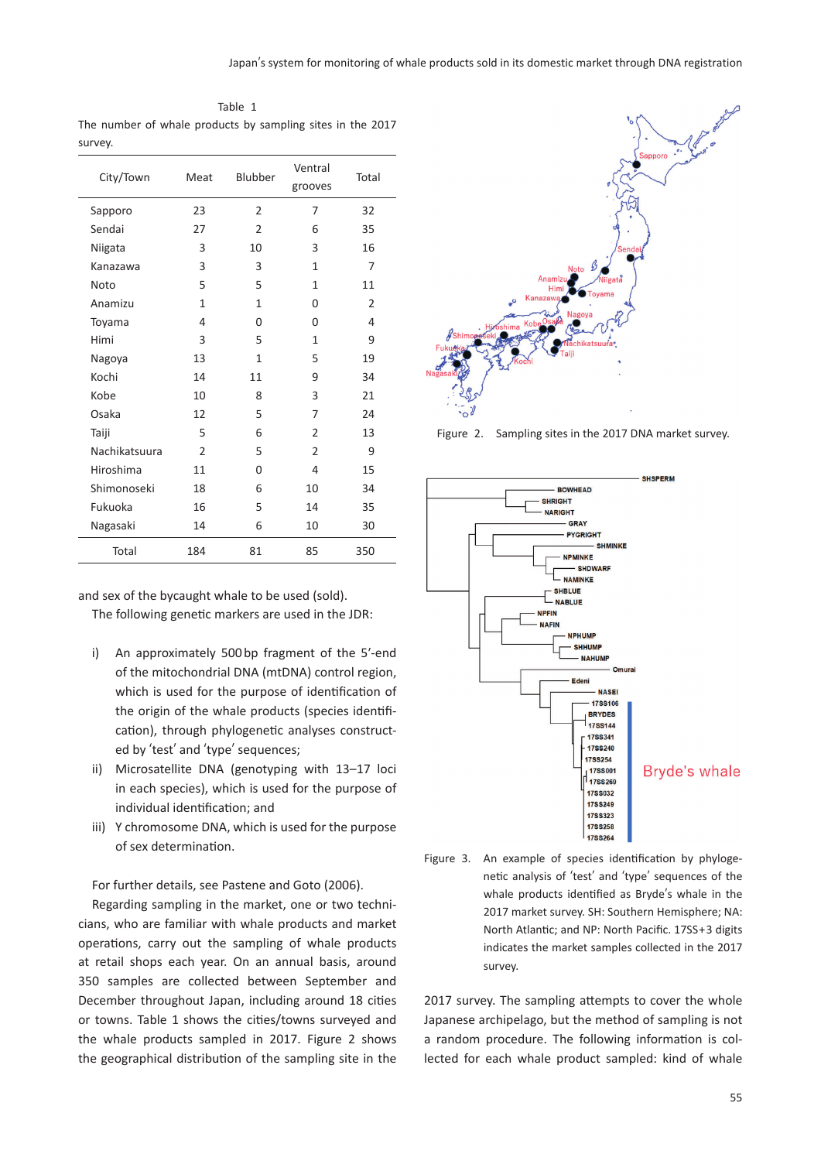| Table 1 |  |  |  |  |  |                                                            |  |  |  |
|---------|--|--|--|--|--|------------------------------------------------------------|--|--|--|
|         |  |  |  |  |  | The number of whale products by sampling sites in the 2017 |  |  |  |
| survey. |  |  |  |  |  |                                                            |  |  |  |

| City/Town     | Meat           | Blubber        | Ventral<br>grooves | Total |
|---------------|----------------|----------------|--------------------|-------|
| Sapporo       | 23             | $\overline{2}$ | 7                  | 32    |
| Sendai        | 27             | $\mathfrak{p}$ | 6                  | 35    |
| Niigata       | 3              | 10             | 3                  | 16    |
| Kanazawa      | 3              | 3              | 1                  | 7     |
| Noto          | 5              | 5              | 1                  | 11    |
| Anamizu       | 1              | 1              | 0                  | 2     |
| Toyama        | 4              | $\Omega$       | 0                  | 4     |
| Himi          | 3              | 5              | 1                  | 9     |
| Nagoya        | 13             | 1              | 5                  | 19    |
| Kochi         | 14             | 11             | 9                  | 34    |
| Kobe          | 10             | 8              | 3                  | 21    |
| Osaka         | 12             | 5              | 7                  | 24    |
| Taiji         | 5              | 6              | $\overline{2}$     | 13    |
| Nachikatsuura | $\overline{2}$ | 5              | $\overline{2}$     | 9     |
| Hiroshima     | 11             | $\Omega$       | 4                  | 15    |
| Shimonoseki   | 18             | 6              | 10                 | 34    |
| Fukuoka       | 16             | 5              | 14                 | 35    |
| Nagasaki      | 14             | 6              | 10                 | 30    |
| Total         | 184            | 81             | 85                 | 350   |

and sex of the bycaught whale to be used (sold).

The following genetic markers are used in the JDR:

- i) An approximately 500 bp fragment of the 5ʹ-end of the mitochondrial DNA (mtDNA) control region, which is used for the purpose of identification of the origin of the whale products (species identification), through phylogenetic analyses constructed by ʻtest' and ʻtype' sequences;
- ii) Microsatellite DNA (genotyping with 13–17 loci in each species), which is used for the purpose of individual identification; and
- iii) Y chromosome DNA, which is used for the purpose of sex determination.

For further details, see Pastene and Goto (2006).

Regarding sampling in the market, one or two technicians, who are familiar with whale products and market operations, carry out the sampling of whale products at retail shops each year. On an annual basis, around 350 samples are collected between September and December throughout Japan, including around 18 cities or towns. Table 1 shows the cities/towns surveyed and the whale products sampled in 2017. Figure 2 shows the geographical distribution of the sampling site in the



Figure 2. Sampling sites in the 2017 DNA market survey.





2017 survey. The sampling attempts to cover the whole Japanese archipelago, but the method of sampling is not a random procedure. The following information is collected for each whale product sampled: kind of whale